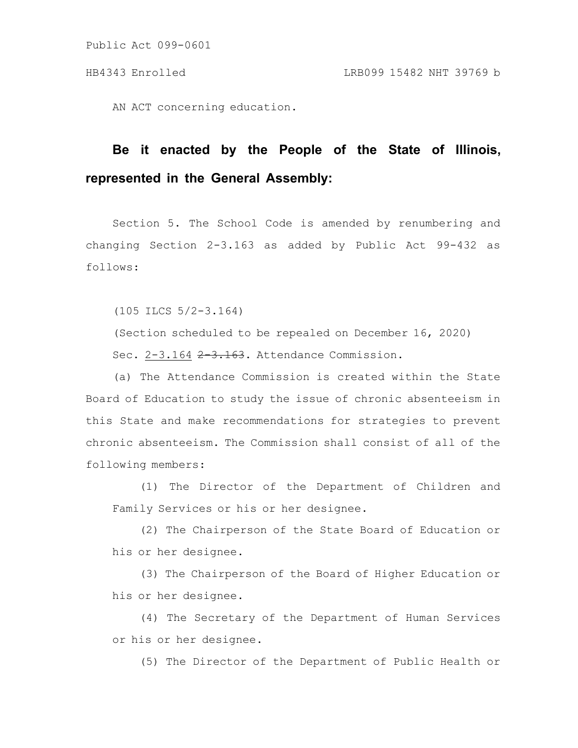AN ACT concerning education.

## **Be it enacted by the People of the State of Illinois, represented in the General Assembly:**

Section 5. The School Code is amended by renumbering and changing Section 2-3.163 as added by Public Act 99-432 as follows:

(105 ILCS 5/2-3.164)

(Section scheduled to be repealed on December 16, 2020)

Sec. 2-3.164 2-3.163. Attendance Commission.

(a) The Attendance Commission is created within the State Board of Education to study the issue of chronic absenteeism in this State and make recommendations for strategies to prevent chronic absenteeism. The Commission shall consist of all of the following members:

(1) The Director of the Department of Children and Family Services or his or her designee.

(2) The Chairperson of the State Board of Education or his or her designee.

(3) The Chairperson of the Board of Higher Education or his or her designee.

(4) The Secretary of the Department of Human Services or his or her designee.

(5) The Director of the Department of Public Health or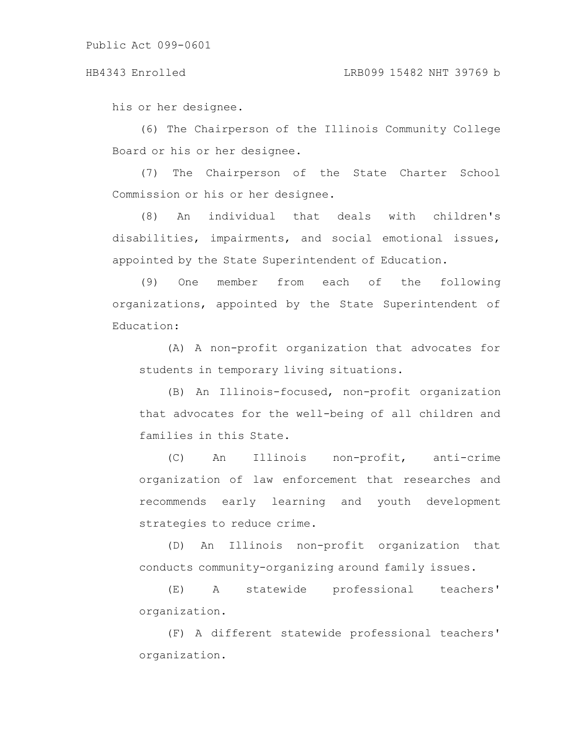his or her designee.

(6) The Chairperson of the Illinois Community College Board or his or her designee.

(7) The Chairperson of the State Charter School Commission or his or her designee.

(8) An individual that deals with children's disabilities, impairments, and social emotional issues, appointed by the State Superintendent of Education.

(9) One member from each of the following organizations, appointed by the State Superintendent of Education:

(A) A non-profit organization that advocates for students in temporary living situations.

(B) An Illinois-focused, non-profit organization that advocates for the well-being of all children and families in this State.

(C) An Illinois non-profit, anti-crime organization of law enforcement that researches and recommends early learning and youth development strategies to reduce crime.

(D) An Illinois non-profit organization that conducts community-organizing around family issues.

(E) A statewide professional teachers' organization.

(F) A different statewide professional teachers' organization.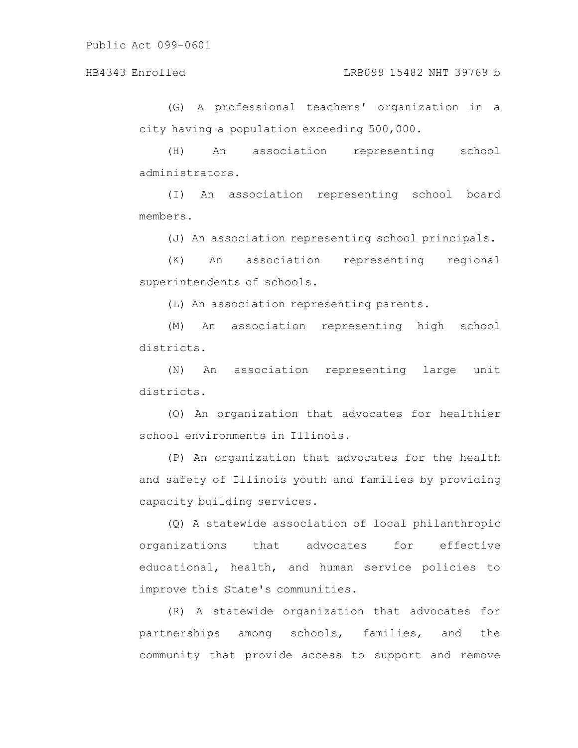## HB4343 Enrolled LRB099 15482 NHT 39769 b

(G) A professional teachers' organization in a city having a population exceeding 500,000.

(H) An association representing school administrators.

(I) An association representing school board members.

(J) An association representing school principals.

(K) An association representing regional superintendents of schools.

(L) An association representing parents.

(M) An association representing high school districts.

(N) An association representing large unit districts.

(O) An organization that advocates for healthier school environments in Illinois.

(P) An organization that advocates for the health and safety of Illinois youth and families by providing capacity building services.

(Q) A statewide association of local philanthropic organizations that advocates for effective educational, health, and human service policies to improve this State's communities.

(R) A statewide organization that advocates for partnerships among schools, families, and the community that provide access to support and remove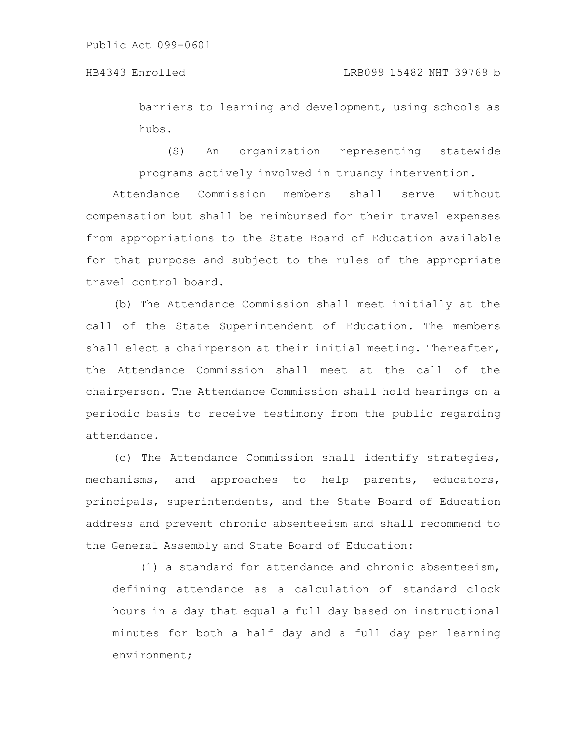barriers to learning and development, using schools as hubs.

(S) An organization representing statewide programs actively involved in truancy intervention.

Attendance Commission members shall serve without compensation but shall be reimbursed for their travel expenses from appropriations to the State Board of Education available for that purpose and subject to the rules of the appropriate travel control board.

(b) The Attendance Commission shall meet initially at the call of the State Superintendent of Education. The members shall elect a chairperson at their initial meeting. Thereafter, the Attendance Commission shall meet at the call of the chairperson. The Attendance Commission shall hold hearings on a periodic basis to receive testimony from the public regarding attendance.

(c) The Attendance Commission shall identify strategies, mechanisms, and approaches to help parents, educators, principals, superintendents, and the State Board of Education address and prevent chronic absenteeism and shall recommend to the General Assembly and State Board of Education:

(1) a standard for attendance and chronic absenteeism, defining attendance as a calculation of standard clock hours in a day that equal a full day based on instructional minutes for both a half day and a full day per learning environment;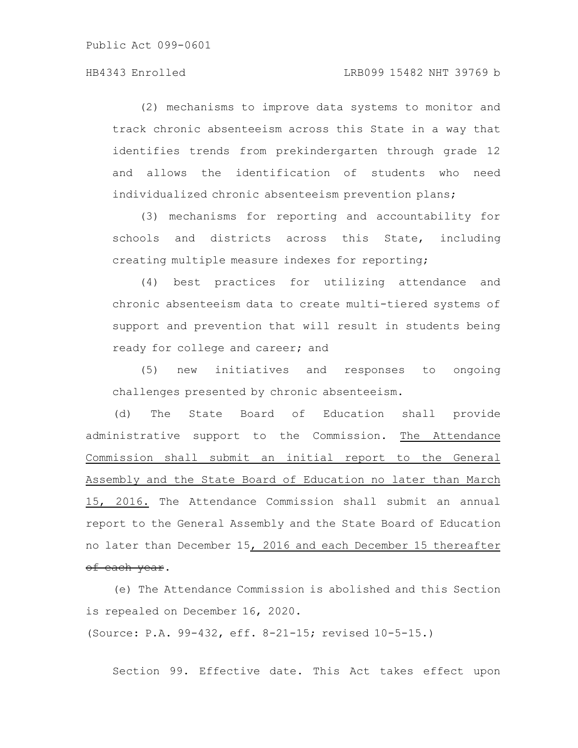## HB4343 Enrolled LRB099 15482 NHT 39769 b

(2) mechanisms to improve data systems to monitor and track chronic absenteeism across this State in a way that identifies trends from prekindergarten through grade 12 and allows the identification of students who need individualized chronic absenteeism prevention plans;

(3) mechanisms for reporting and accountability for schools and districts across this State, including creating multiple measure indexes for reporting;

(4) best practices for utilizing attendance and chronic absenteeism data to create multi-tiered systems of support and prevention that will result in students being ready for college and career; and

(5) new initiatives and responses to ongoing challenges presented by chronic absenteeism.

(d) The State Board of Education shall provide administrative support to the Commission. The Attendance Commission shall submit an initial report to the General Assembly and the State Board of Education no later than March 15, 2016. The Attendance Commission shall submit an annual report to the General Assembly and the State Board of Education no later than December 15, 2016 and each December 15 thereafter of each year.

(e) The Attendance Commission is abolished and this Section is repealed on December 16, 2020.

(Source: P.A. 99-432, eff. 8-21-15; revised 10-5-15.)

Section 99. Effective date. This Act takes effect upon